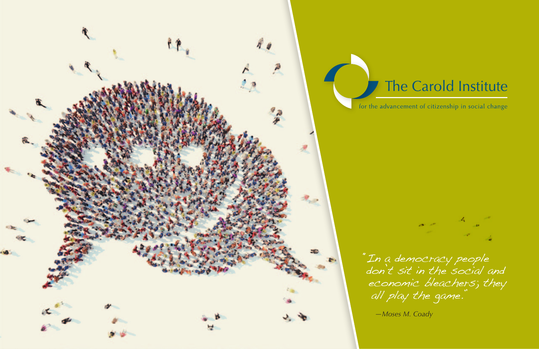

# The Carold Institute

for the advancement of citizenship in social change



"In a democracy people don't sit in the social and economic bleachers; they all play the game."

*—Moses M. Coady*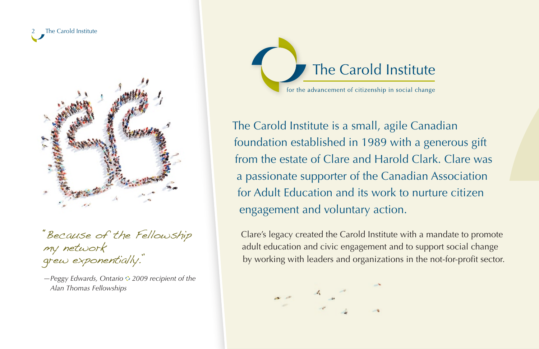



"Because of the Fellowship my network grew exponentially."

*—Peggy Edwards, Ontario 2009 recipient of the Alan Thomas Fellowships*



The Carold Institute is a small, agile Canadian foundation established in 1989 with a generous gift from the estate of Clare and Harold Clark. Clare was a passionate supporter of the Canadian Association for Adult Education and its work to nurture citizen engagement and voluntary action.

Clare's legacy created the Carold Institute with a mandate to promote adult education and civic engagement and to support social change by working with leaders and organizations in the not-for-profit sector.

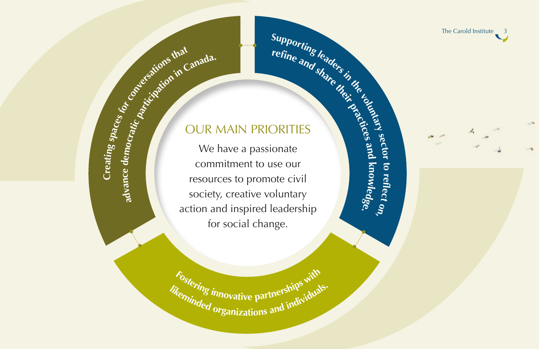The Carold Institute  $\frac{3}{3}$ 

# Supporting leaders in the line and share their the legislation OUR MAIN PRIORITIES

**<sup>r</sup>efn<sup>e</sup> <sup>a</sup>n<sup>d</sup> <sup>s</sup>har<sup>e</sup> <sup>t</sup>hei<sup>r</sup>**

Proceedions the Canada. We have a passionate commitment to use our resources to promote civil society, creative voluntary action and inspired leadership for social change.

> *likeming innovative partnerships* and individuals. Fostering innovative partnerships with

**sector to re f e ct on, practices and k n owledge.**

**n c e Creati**<br> **cc** de **ating spaces**

**adva**

**for**

**conversation<sup>s</sup> <sup>t</sup>ha<sup>t</sup>**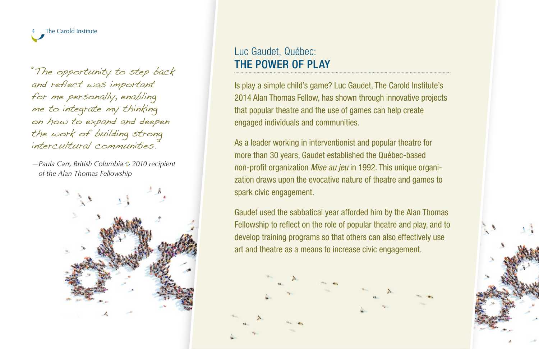The Carold Institute

"The opportunity to step back and reflect was important for me personally, enabling me to integrate my thinking on how to expand and deepen the work of building strong intercultural communities."

*—Paula Carr, British Columbia 2010 recipient of the Alan Thomas Fellowship*



#### Luc Gaudet, Québec: THE POWER OF PLAY

Is play a simple child's game? Luc Gaudet, The Carold Institute's 2014 Alan Thomas Fellow, has shown through innovative projects that popular theatre and the use of games can help create engaged individuals and communities.

As a leader working in interventionist and popular theatre for more than 30 years, Gaudet established the Québec-based non-profit organization *Mise au jeu* in 1992. This unique organization draws upon the evocative nature of theatre and games to spark civic engagement.

Gaudet used the sabbatical year afforded him by the Alan Thomas Fellowship to reflect on the role of popular theatre and play, and to develop training programs so that others can also effectively use art and theatre as a means to increase civic engagement.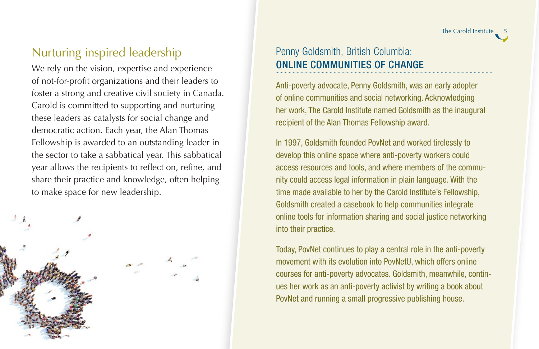The Carold Institute \_

### Nurturing inspired leadership

We rely on the vision, expertise and experience of not-for-profit organizations and their leaders to foster a strong and creative civil society in Canada. Carold is committed to supporting and nurturing these leaders as catalysts for social change and democratic action. Each year, the Alan Thomas Fellowship is awarded to an outstanding leader in the sector to take a sabbatical year. This sabbatical year allows the recipients to reflect on, refine, and share their practice and knowledge, often helping to make space for new leadership.



#### Penny Goldsmith, British Columbia: ONLINE COMMUNITIES OF CHANGE

Anti-poverty advocate, Penny Goldsmith, was an early adopter of online communities and social networking. Acknowledging her work, The Carold Institute named Goldsmith as the inaugural recipient of the Alan Thomas Fellowship award.

In 1997, Goldsmith founded PovNet and worked tirelessly to develop this online space where anti-poverty workers could access resources and tools, and where members of the community could access legal information in plain language. With the time made available to her by the Carold Institute's Fellowship, Goldsmith created a casebook to help communities integrate online tools for information sharing and social justice networking into their practice.

Today, PovNet continues to play a central role in the anti-poverty movement with its evolution into PovNetU, which offers online courses for anti-poverty advocates. Goldsmith, meanwhile, continues her work as an anti-poverty activist by writing a book about PovNet and running a small progressive publishing house.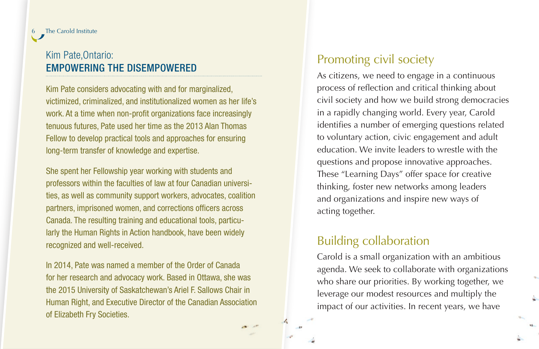#### **Filter Carold Institute**

#### Kim Pate,Ontario: EMPOWERING THE DISEMPOWERED

Kim Pate considers advocating with and for marginalized, victimized, criminalized, and institutionalized women as her life's work. At a time when non-profit organizations face increasingly tenuous futures, Pate used her time as the 2013 Alan Thomas Fellow to develop practical tools and approaches for ensuring long-term transfer of knowledge and expertise.

She spent her Fellowship year working with students and professors within the faculties of law at four Canadian universities, as well as community support workers, advocates, coalition partners, imprisoned women, and corrections officers across Canada. The resulting training and educational tools, particularly the Human Rights in Action handbook, have been widely recognized and well-received.

In 2014, Pate was named a member of the Order of Canada for her research and advocacy work. Based in Ottawa, she was the 2015 University of Saskatchewan's Ariel F. Sallows Chair in Human Right, and Executive Director of the Canadian Association of Elizabeth Fry Societies.

#### Promoting civil society

As citizens, we need to engage in a continuous process of reflection and critical thinking about civil society and how we build strong democracies in a rapidly changing world. Every year, Carold identifies a number of emerging questions related to voluntary action, civic engagement and adult education. We invite leaders to wrestle with the questions and propose innovative approaches. These "Learning Days" offer space for creative thinking, foster new networks among leaders and organizations and inspire new ways of acting together.

#### Building collaboration

Carold is a small organization with an ambitious agenda. We seek to collaborate with organizations who share our priorities. By working together, we leverage our modest resources and multiply the impact of our activities. In recent years, we have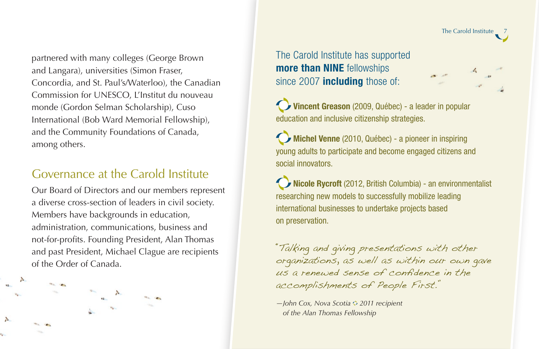partnered with many colleges (George Brown and Langara), universities (Simon Fraser, Concordia, and St. Paul's/Waterloo), the Canadian Commission for UNESCO, L'Institut du nouveau monde (Gordon Selman Scholarship), Cuso International (Bob Ward Memorial Fellowship), and the Community Foundations of Canada, among others.

#### Governance at the Carold Institute

Our Board of Directors and our members represent a diverse cross-section of leaders in civil society. Members have backgrounds in education, administration, communications, business and not-for-profits. Founding President, Alan Thomas and past President, Michael Clague are recipients of the Order of Canada.

mar and



Vincent Greason (2009, Québec) - a leader in popular education and inclusive citizenship strategies.

The Carold Institute \_7

Michel Venne (2010, Québec) - a pioneer in inspiring young adults to participate and become engaged citizens and social innovators.

Nicole Rycroft (2012, British Columbia) - an environmentalist researching new models to successfully mobilize leading international businesses to undertake projects based on preservation.

"Talking and giving presentations with other organizations, as well as within our own gave us a renewed sense of confidence in the accomplishments of People First."

*—John Cox, Nova Scotia 2011 recipient of the Alan Thomas Fellowship*